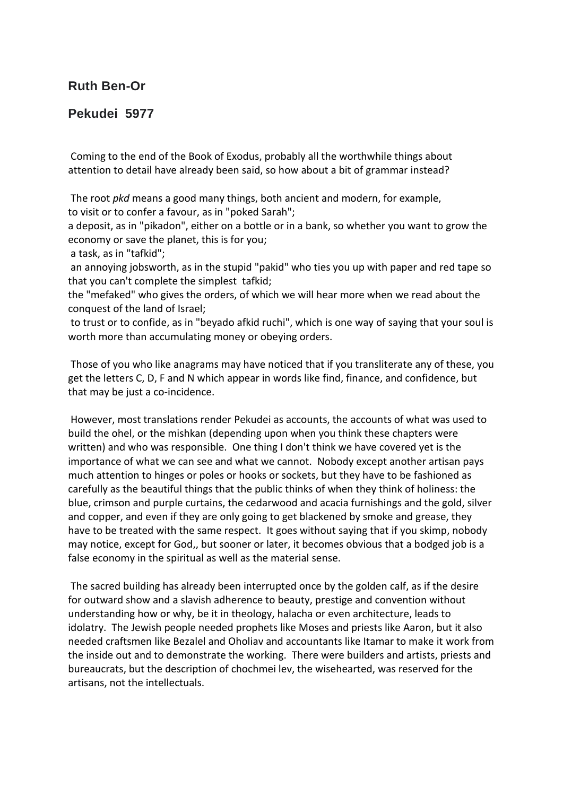## **Ruth Ben-Or**

## **Pekudei 5977**

Coming to the end of the Book of Exodus, probably all the worthwhile things about attention to detail have already been said, so how about a bit of grammar instead?

The root *pkd* means a good many things, both ancient and modern, for example, to visit or to confer a favour, as in "poked Sarah";

a deposit, as in "pikadon", either on a bottle or in a bank, so whether you want to grow the economy or save the planet, this is for you;

a task, as in "tafkid";

an annoying jobsworth, as in the stupid "pakid" who ties you up with paper and red tape so that you can't complete the simplest tafkid;

the "mefaked" who gives the orders, of which we will hear more when we read about the conquest of the land of Israel;

to trust or to confide, as in "beyado afkid ruchi", which is one way of saying that your soul is worth more than accumulating money or obeying orders.

Those of you who like anagrams may have noticed that if you transliterate any of these, you get the letters C, D, F and N which appear in words like find, finance, and confidence, but that may be just a co-incidence.

However, most translations render Pekudei as accounts, the accounts of what was used to build the ohel, or the mishkan (depending upon when you think these chapters were written) and who was responsible. One thing I don't think we have covered yet is the importance of what we can see and what we cannot. Nobody except another artisan pays much attention to hinges or poles or hooks or sockets, but they have to be fashioned as carefully as the beautiful things that the public thinks of when they think of holiness: the blue, crimson and purple curtains, the cedarwood and acacia furnishings and the gold, silver and copper, and even if they are only going to get blackened by smoke and grease, they have to be treated with the same respect. It goes without saying that if you skimp, nobody may notice, except for God,, but sooner or later, it becomes obvious that a bodged job is a false economy in the spiritual as well as the material sense.

The sacred building has already been interrupted once by the golden calf, as if the desire for outward show and a slavish adherence to beauty, prestige and convention without understanding how or why, be it in theology, halacha or even architecture, leads to idolatry. The Jewish people needed prophets like Moses and priests like Aaron, but it also needed craftsmen like Bezalel and Oholiav and accountants like Itamar to make it work from the inside out and to demonstrate the working. There were builders and artists, priests and bureaucrats, but the description of chochmei lev, the wisehearted, was reserved for the artisans, not the intellectuals.